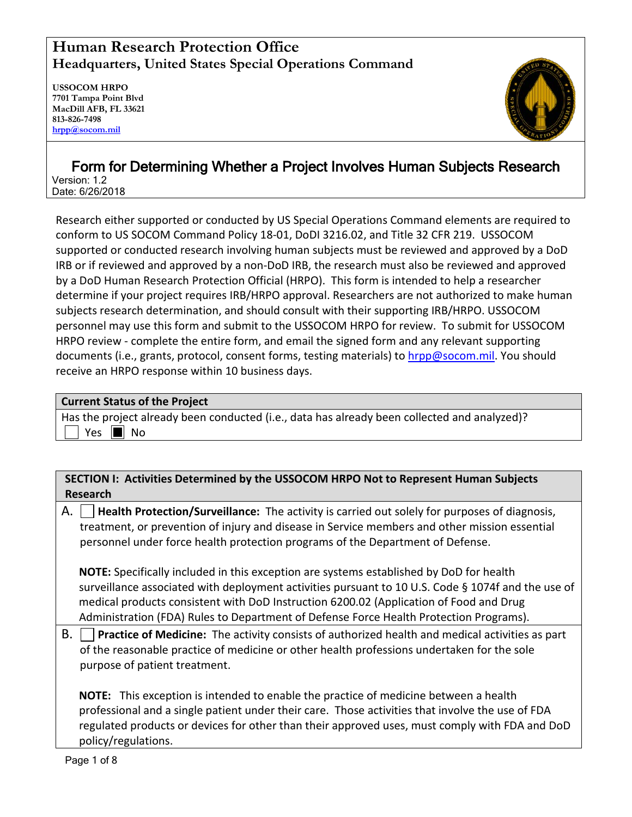## **Human Research Protection Office Headquarters, United States Special Operations Command**

**USSOCOM HRPO 7701 Tampa Point Blvd MacDill AFB, FL 33621 813-826-7498 [hrpp@socom.mil](mailto:hrpp@socom.mil)**



# Form for Determining Whether a Project Involves Human Subjects Research Version: 1.2 Date: 6/26/2018

Research either supported or conducted by US Special Operations Command elements are required to conform to US SOCOM Command Policy 18-01, DoDI 3216.02, and Title 32 CFR 219. USSOCOM supported or conducted research involving human subjects must be reviewed and approved by a DoD IRB or if reviewed and approved by a non-DoD IRB, the research must also be reviewed and approved by a DoD Human Research Protection Official (HRPO). This form is intended to help a researcher determine if your project requires IRB/HRPO approval. Researchers are not authorized to make human subjects research determination, and should consult with their supporting IRB/HRPO. USSOCOM personnel may use this form and submit to the USSOCOM HRPO for review. To submit for USSOCOM HRPO review - complete the entire form, and email the signed form and any relevant supporting documents (i.e., grants, protocol, consent forms, testing materials) to [hrpp@socom.mil.](mailto:hrpp@socom.mil) You should receive an HRPO response within 10 business days.

#### **Current Status of the Project**

Has the project already been conducted (i.e., data has already been collected and analyzed)? Yes  $\blacksquare$  No

### **SECTION I: Activities Determined by the USSOCOM HRPO Not to Represent Human Subjects Research**

A. **Health Protection/Surveillance:** The activity is carried out solely for purposes of diagnosis, treatment, or prevention of injury and disease in Service members and other mission essential personnel under force health protection programs of the Department of Defense.

**NOTE:** Specifically included in this exception are systems established by DoD for health surveillance associated with deployment activities pursuant to 10 U.S. Code § 1074f and the use of medical products consistent with DoD Instruction 6200.02 (Application of Food and Drug Administration (FDA) Rules to Department of Defense Force Health Protection Programs).

B. **Practice of Medicine:** The activity consists of authorized health and medical activities as part of the reasonable practice of medicine or other health professions undertaken for the sole purpose of patient treatment.

**NOTE:** This exception is intended to enable the practice of medicine between a health professional and a single patient under their care. Those activities that involve the use of FDA regulated products or devices for other than their approved uses, must comply with FDA and DoD policy/regulations.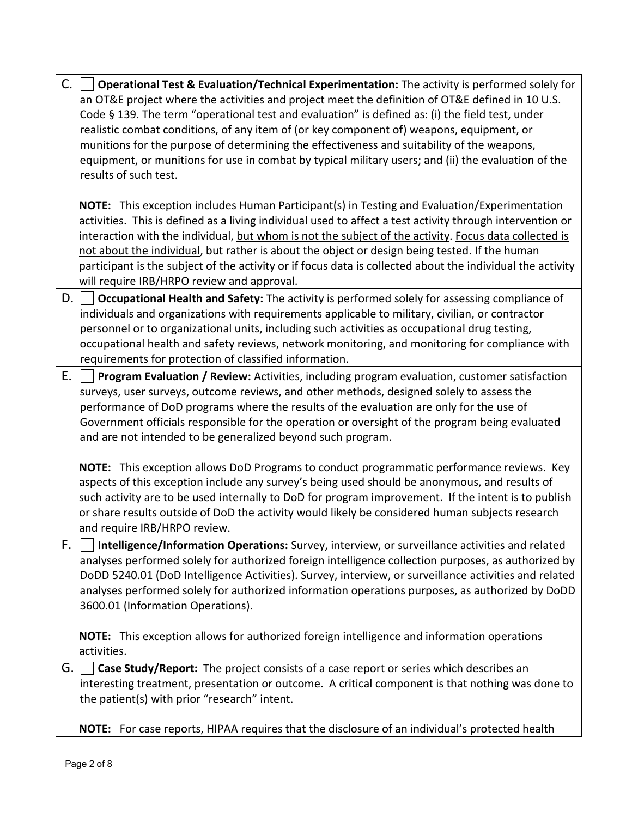| C. | <b>Operational Test &amp; Evaluation/Technical Experimentation:</b> The activity is performed solely for<br>an OT&E project where the activities and project meet the definition of OT&E defined in 10 U.S.<br>Code § 139. The term "operational test and evaluation" is defined as: (i) the field test, under<br>realistic combat conditions, of any item of (or key component of) weapons, equipment, or<br>munitions for the purpose of determining the effectiveness and suitability of the weapons,<br>equipment, or munitions for use in combat by typical military users; and (ii) the evaluation of the<br>results of such test. |
|----|------------------------------------------------------------------------------------------------------------------------------------------------------------------------------------------------------------------------------------------------------------------------------------------------------------------------------------------------------------------------------------------------------------------------------------------------------------------------------------------------------------------------------------------------------------------------------------------------------------------------------------------|
|    | NOTE: This exception includes Human Participant(s) in Testing and Evaluation/Experimentation<br>activities. This is defined as a living individual used to affect a test activity through intervention or<br>interaction with the individual, but whom is not the subject of the activity. Focus data collected is<br>not about the individual, but rather is about the object or design being tested. If the human<br>participant is the subject of the activity or if focus data is collected about the individual the activity<br>will require IRB/HRPO review and approval.                                                          |
| D. | Occupational Health and Safety: The activity is performed solely for assessing compliance of<br>individuals and organizations with requirements applicable to military, civilian, or contractor<br>personnel or to organizational units, including such activities as occupational drug testing,<br>occupational health and safety reviews, network monitoring, and monitoring for compliance with<br>requirements for protection of classified information.                                                                                                                                                                             |
| Ε. | Program Evaluation / Review: Activities, including program evaluation, customer satisfaction<br>surveys, user surveys, outcome reviews, and other methods, designed solely to assess the<br>performance of DoD programs where the results of the evaluation are only for the use of<br>Government officials responsible for the operation or oversight of the program being evaluated<br>and are not intended to be generalized beyond such program.                                                                                                                                                                                     |
|    | NOTE: This exception allows DoD Programs to conduct programmatic performance reviews. Key<br>aspects of this exception include any survey's being used should be anonymous, and results of<br>such activity are to be used internally to DoD for program improvement. If the intent is to publish<br>or share results outside of DoD the activity would likely be considered human subjects research<br>and require IRB/HRPO review.                                                                                                                                                                                                     |
| F. | Intelligence/Information Operations: Survey, interview, or surveillance activities and related<br>analyses performed solely for authorized foreign intelligence collection purposes, as authorized by<br>DoDD 5240.01 (DoD Intelligence Activities). Survey, interview, or surveillance activities and related<br>analyses performed solely for authorized information operations purposes, as authorized by DoDD<br>3600.01 (Information Operations).                                                                                                                                                                                   |
|    | NOTE: This exception allows for authorized foreign intelligence and information operations<br>activities.                                                                                                                                                                                                                                                                                                                                                                                                                                                                                                                                |
| G. | Case Study/Report: The project consists of a case report or series which describes an<br>interesting treatment, presentation or outcome. A critical component is that nothing was done to<br>the patient(s) with prior "research" intent.                                                                                                                                                                                                                                                                                                                                                                                                |
|    | NOTE: For case reports, HIPAA requires that the disclosure of an individual's protected health                                                                                                                                                                                                                                                                                                                                                                                                                                                                                                                                           |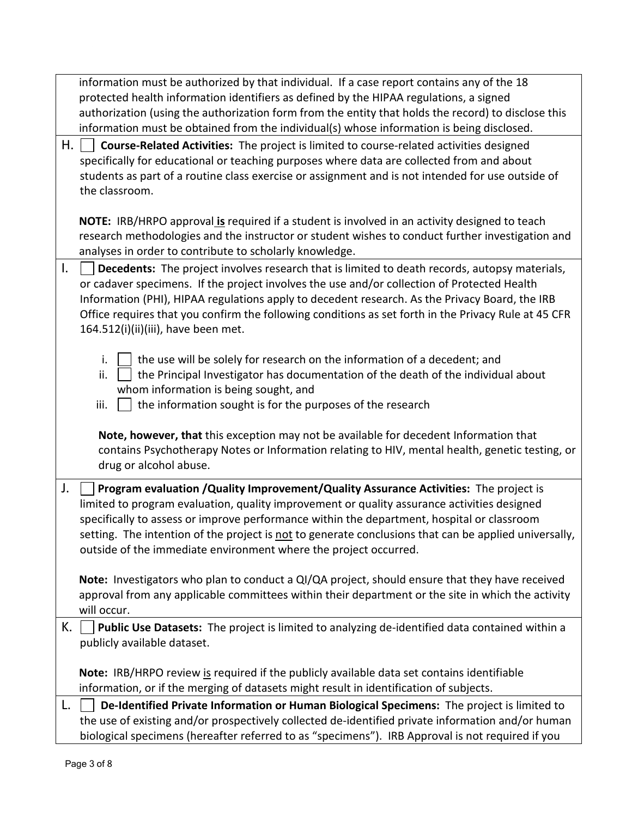|    | information must be authorized by that individual. If a case report contains any of the 18<br>protected health information identifiers as defined by the HIPAA regulations, a signed<br>authorization (using the authorization form from the entity that holds the record) to disclose this<br>information must be obtained from the individual(s) whose information is being disclosed.                                                                         |
|----|------------------------------------------------------------------------------------------------------------------------------------------------------------------------------------------------------------------------------------------------------------------------------------------------------------------------------------------------------------------------------------------------------------------------------------------------------------------|
| Н. | Course-Related Activities: The project is limited to course-related activities designed<br>specifically for educational or teaching purposes where data are collected from and about<br>students as part of a routine class exercise or assignment and is not intended for use outside of<br>the classroom.                                                                                                                                                      |
|    | NOTE: IRB/HRPO approval is required if a student is involved in an activity designed to teach<br>research methodologies and the instructor or student wishes to conduct further investigation and<br>analyses in order to contribute to scholarly knowledge.                                                                                                                                                                                                     |
| Τ. | Decedents: The project involves research that is limited to death records, autopsy materials,<br>or cadaver specimens. If the project involves the use and/or collection of Protected Health<br>Information (PHI), HIPAA regulations apply to decedent research. As the Privacy Board, the IRB<br>Office requires that you confirm the following conditions as set forth in the Privacy Rule at 45 CFR<br>164.512(i)(ii)(iii), have been met.                    |
|    | the use will be solely for research on the information of a decedent; and<br>i.<br>the Principal Investigator has documentation of the death of the individual about<br>ii.<br>whom information is being sought, and<br>iii.<br>the information sought is for the purposes of the research                                                                                                                                                                       |
|    | Note, however, that this exception may not be available for decedent Information that<br>contains Psychotherapy Notes or Information relating to HIV, mental health, genetic testing, or<br>drug or alcohol abuse.                                                                                                                                                                                                                                               |
| J. | Program evaluation / Quality Improvement/ Quality Assurance Activities: The project is<br>limited to program evaluation, quality improvement or quality assurance activities designed<br>specifically to assess or improve performance within the department, hospital or classroom<br>setting. The intention of the project is not to generate conclusions that can be applied universally,<br>outside of the immediate environment where the project occurred. |
|    | Note: Investigators who plan to conduct a QI/QA project, should ensure that they have received<br>approval from any applicable committees within their department or the site in which the activity<br>will occur.                                                                                                                                                                                                                                               |
| К. | Public Use Datasets: The project is limited to analyzing de-identified data contained within a<br>publicly available dataset.                                                                                                                                                                                                                                                                                                                                    |
|    | Note: IRB/HRPO review is required if the publicly available data set contains identifiable<br>information, or if the merging of datasets might result in identification of subjects.                                                                                                                                                                                                                                                                             |
| L. | De-Identified Private Information or Human Biological Specimens: The project is limited to<br>the use of existing and/or prospectively collected de-identified private information and/or human<br>biological specimens (hereafter referred to as "specimens"). IRB Approval is not required if you                                                                                                                                                              |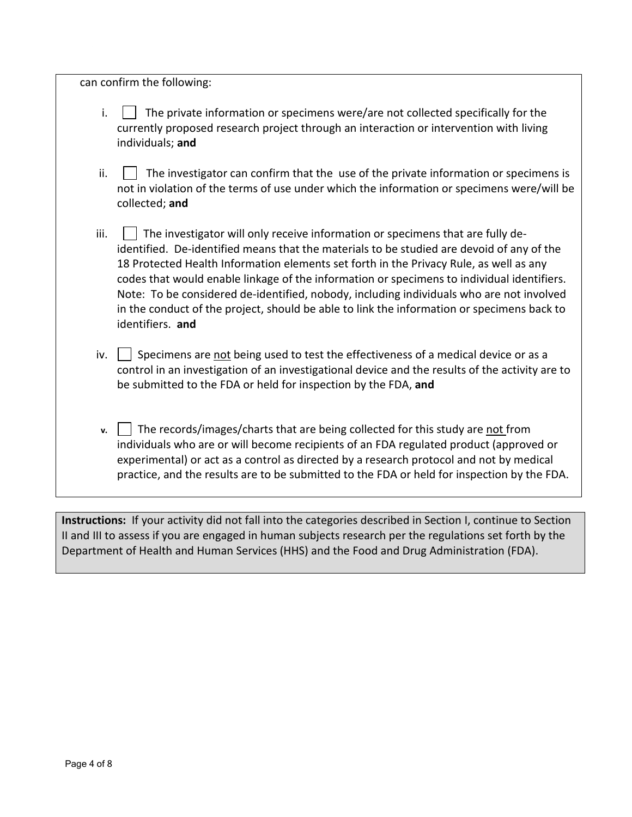can confirm the following:

- i.  $\parallel \cdot \parallel$  The private information or specimens were/are not collected specifically for the currently proposed research project through an interaction or intervention with living individuals; **and**
- $ii.$   $\parallel$  The investigator can confirm that the use of the private information or specimens is not in violation of the terms of use under which the information or specimens were/will be collected; **and**
- $\parallel$  The investigator will only receive information or specimens that are fully deidentified. De-identified means that the materials to be studied are devoid of any of the 18 Protected Health Information elements set forth in the Privacy Rule, as well as any codes that would enable linkage of the information or specimens to individual identifiers. Note: To be considered de-identified, nobody, including individuals who are not involved in the conduct of the project, should be able to link the information or specimens back to identifiers. **and**
- iv.  $\vert \cdot \vert$  Specimens are not being used to test the effectiveness of a medical device or as a control in an investigation of an investigational device and the results of the activity are to be submitted to the FDA or held for inspection by the FDA, **and**
- **v.** The records/images/charts that are being collected for this study are not from individuals who are or will become recipients of an FDA regulated product (approved or experimental) or act as a control as directed by a research protocol and not by medical practice, and the results are to be submitted to the FDA or held for inspection by the FDA.

**Instructions:** If your activity did not fall into the categories described in Section I, continue to Section II and III to assess if you are engaged in human subjects research per the regulations set forth by the Department of Health and Human Services (HHS) and the Food and Drug Administration (FDA).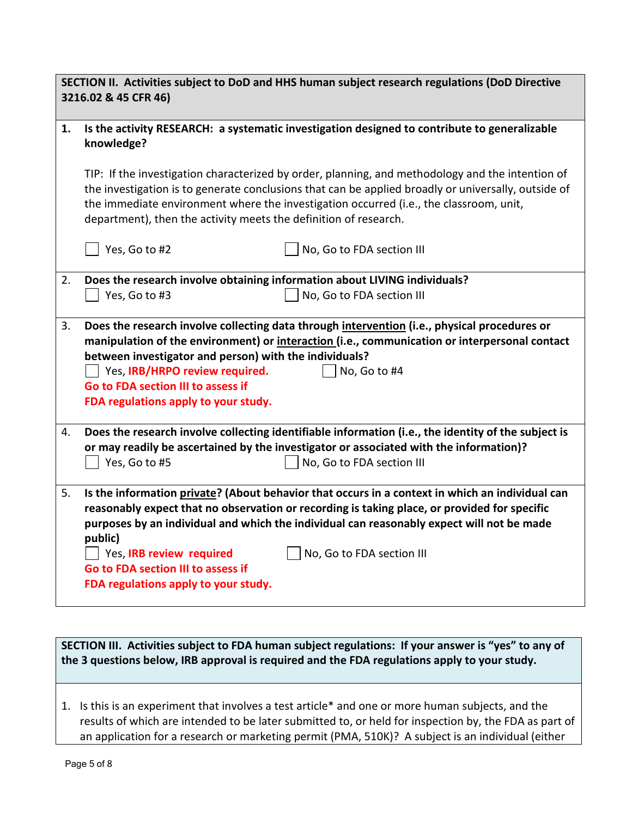| SECTION II. Activities subject to DoD and HHS human subject research regulations (DoD Directive<br>3216.02 & 45 CFR 46) |                                                                                                                                                                                                                                                                                                                                                                                                                                                |  |  |  |
|-------------------------------------------------------------------------------------------------------------------------|------------------------------------------------------------------------------------------------------------------------------------------------------------------------------------------------------------------------------------------------------------------------------------------------------------------------------------------------------------------------------------------------------------------------------------------------|--|--|--|
| 1.                                                                                                                      | Is the activity RESEARCH: a systematic investigation designed to contribute to generalizable<br>knowledge?                                                                                                                                                                                                                                                                                                                                     |  |  |  |
|                                                                                                                         | TIP: If the investigation characterized by order, planning, and methodology and the intention of<br>the investigation is to generate conclusions that can be applied broadly or universally, outside of<br>the immediate environment where the investigation occurred (i.e., the classroom, unit,<br>department), then the activity meets the definition of research.                                                                          |  |  |  |
|                                                                                                                         | Yes, Go to #2<br>No, Go to FDA section III                                                                                                                                                                                                                                                                                                                                                                                                     |  |  |  |
| 2.                                                                                                                      | Does the research involve obtaining information about LIVING individuals?                                                                                                                                                                                                                                                                                                                                                                      |  |  |  |
|                                                                                                                         | Yes, Go to #3<br>No, Go to FDA section III                                                                                                                                                                                                                                                                                                                                                                                                     |  |  |  |
| 3.                                                                                                                      | Does the research involve collecting data through intervention (i.e., physical procedures or<br>manipulation of the environment) or interaction (i.e., communication or interpersonal contact<br>between investigator and person) with the individuals?<br>Yes, IRB/HRPO review required.<br>No, Go to #4<br>Go to FDA section III to assess if<br>FDA regulations apply to your study.                                                        |  |  |  |
| 4.                                                                                                                      | Does the research involve collecting identifiable information (i.e., the identity of the subject is<br>or may readily be ascertained by the investigator or associated with the information)?<br>Yes, Go to #5<br>No, Go to FDA section III                                                                                                                                                                                                    |  |  |  |
| 5.                                                                                                                      | Is the information private? (About behavior that occurs in a context in which an individual can<br>reasonably expect that no observation or recording is taking place, or provided for specific<br>purposes by an individual and which the individual can reasonably expect will not be made<br>public)<br>Yes, IRB review required<br>No, Go to FDA section III<br>Go to FDA section III to assess if<br>FDA regulations apply to your study. |  |  |  |

**SECTION III. Activities subject to FDA human subject regulations: If your answer is "yes" to any of the 3 questions below, IRB approval is required and the FDA regulations apply to your study.** 

1. Is this is an experiment that involves a test article\* and one or more human subjects, and the results of which are intended to be later submitted to, or held for inspection by, the FDA as part of an application for a research or marketing permit (PMA, 510K)? A subject is an individual (either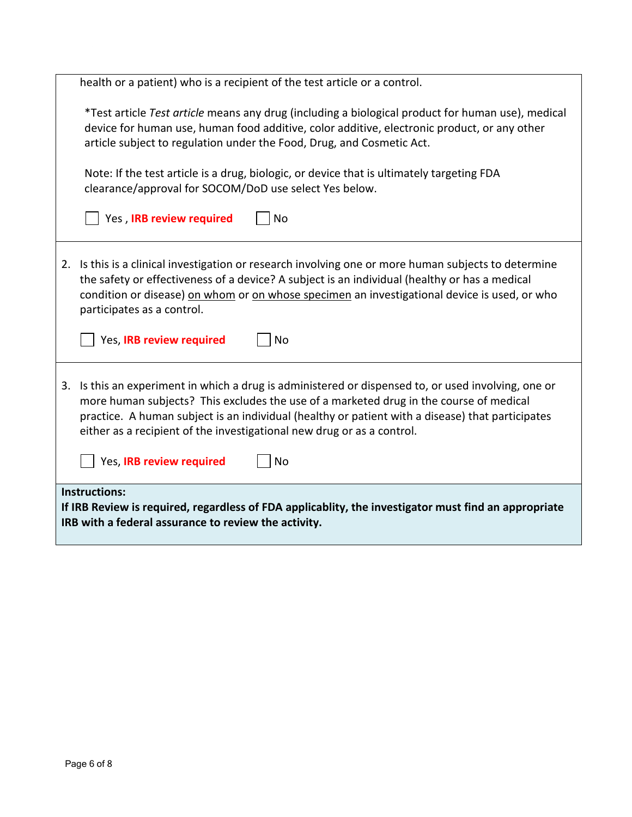|                                                                                                                                                                                      | health or a patient) who is a recipient of the test article or a control.                                                                                                                                                                                                                                                                                                   |  |  |
|--------------------------------------------------------------------------------------------------------------------------------------------------------------------------------------|-----------------------------------------------------------------------------------------------------------------------------------------------------------------------------------------------------------------------------------------------------------------------------------------------------------------------------------------------------------------------------|--|--|
|                                                                                                                                                                                      | *Test article Test article means any drug (including a biological product for human use), medical<br>device for human use, human food additive, color additive, electronic product, or any other<br>article subject to regulation under the Food, Drug, and Cosmetic Act.                                                                                                   |  |  |
|                                                                                                                                                                                      | Note: If the test article is a drug, biologic, or device that is ultimately targeting FDA<br>clearance/approval for SOCOM/DoD use select Yes below.                                                                                                                                                                                                                         |  |  |
|                                                                                                                                                                                      | Yes, IRB review required<br>No                                                                                                                                                                                                                                                                                                                                              |  |  |
|                                                                                                                                                                                      | 2. Is this is a clinical investigation or research involving one or more human subjects to determine<br>the safety or effectiveness of a device? A subject is an individual (healthy or has a medical<br>condition or disease) on whom or on whose specimen an investigational device is used, or who<br>participates as a control.                                         |  |  |
|                                                                                                                                                                                      | Yes, IRB review required<br>No                                                                                                                                                                                                                                                                                                                                              |  |  |
|                                                                                                                                                                                      | 3. Is this an experiment in which a drug is administered or dispensed to, or used involving, one or<br>more human subjects? This excludes the use of a marketed drug in the course of medical<br>practice. A human subject is an individual (healthy or patient with a disease) that participates<br>either as a recipient of the investigational new drug or as a control. |  |  |
|                                                                                                                                                                                      | Yes, IRB review required<br><b>No</b>                                                                                                                                                                                                                                                                                                                                       |  |  |
| <b>Instructions:</b><br>If IRB Review is required, regardless of FDA applicablity, the investigator must find an appropriate<br>IRB with a federal assurance to review the activity. |                                                                                                                                                                                                                                                                                                                                                                             |  |  |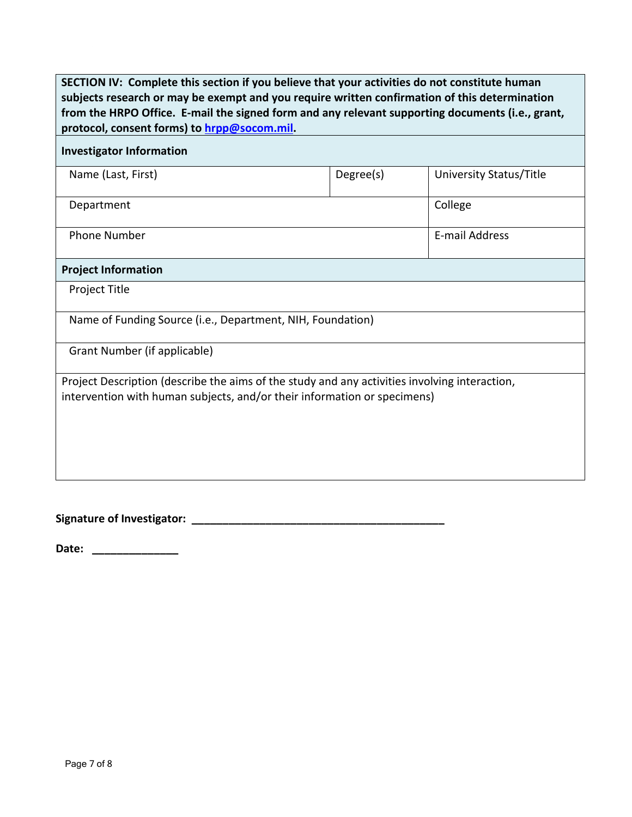| SECTION IV: Complete this section if you believe that your activities do not constitute human<br>subjects research or may be exempt and you require written confirmation of this determination<br>from the HRPO Office. E-mail the signed form and any relevant supporting documents (i.e., grant,<br>protocol, consent forms) to hrpp@socom.mil. |           |                         |  |  |  |  |  |
|---------------------------------------------------------------------------------------------------------------------------------------------------------------------------------------------------------------------------------------------------------------------------------------------------------------------------------------------------|-----------|-------------------------|--|--|--|--|--|
| <b>Investigator Information</b>                                                                                                                                                                                                                                                                                                                   |           |                         |  |  |  |  |  |
| Name (Last, First)                                                                                                                                                                                                                                                                                                                                | Degree(s) | University Status/Title |  |  |  |  |  |
| Department                                                                                                                                                                                                                                                                                                                                        |           | College                 |  |  |  |  |  |
| <b>Phone Number</b>                                                                                                                                                                                                                                                                                                                               |           | <b>E-mail Address</b>   |  |  |  |  |  |
| <b>Project Information</b>                                                                                                                                                                                                                                                                                                                        |           |                         |  |  |  |  |  |
| <b>Project Title</b>                                                                                                                                                                                                                                                                                                                              |           |                         |  |  |  |  |  |
| Name of Funding Source (i.e., Department, NIH, Foundation)                                                                                                                                                                                                                                                                                        |           |                         |  |  |  |  |  |
| Grant Number (if applicable)                                                                                                                                                                                                                                                                                                                      |           |                         |  |  |  |  |  |
| Project Description (describe the aims of the study and any activities involving interaction,<br>intervention with human subjects, and/or their information or specimens)                                                                                                                                                                         |           |                         |  |  |  |  |  |

**Signature of Investigator: \_\_\_\_\_\_\_\_\_\_\_\_\_\_\_\_\_\_\_\_\_\_\_\_\_\_\_\_\_\_\_\_\_\_\_\_\_\_\_\_\_** 

**Date: \_\_\_\_\_\_\_\_\_\_\_\_\_\_**